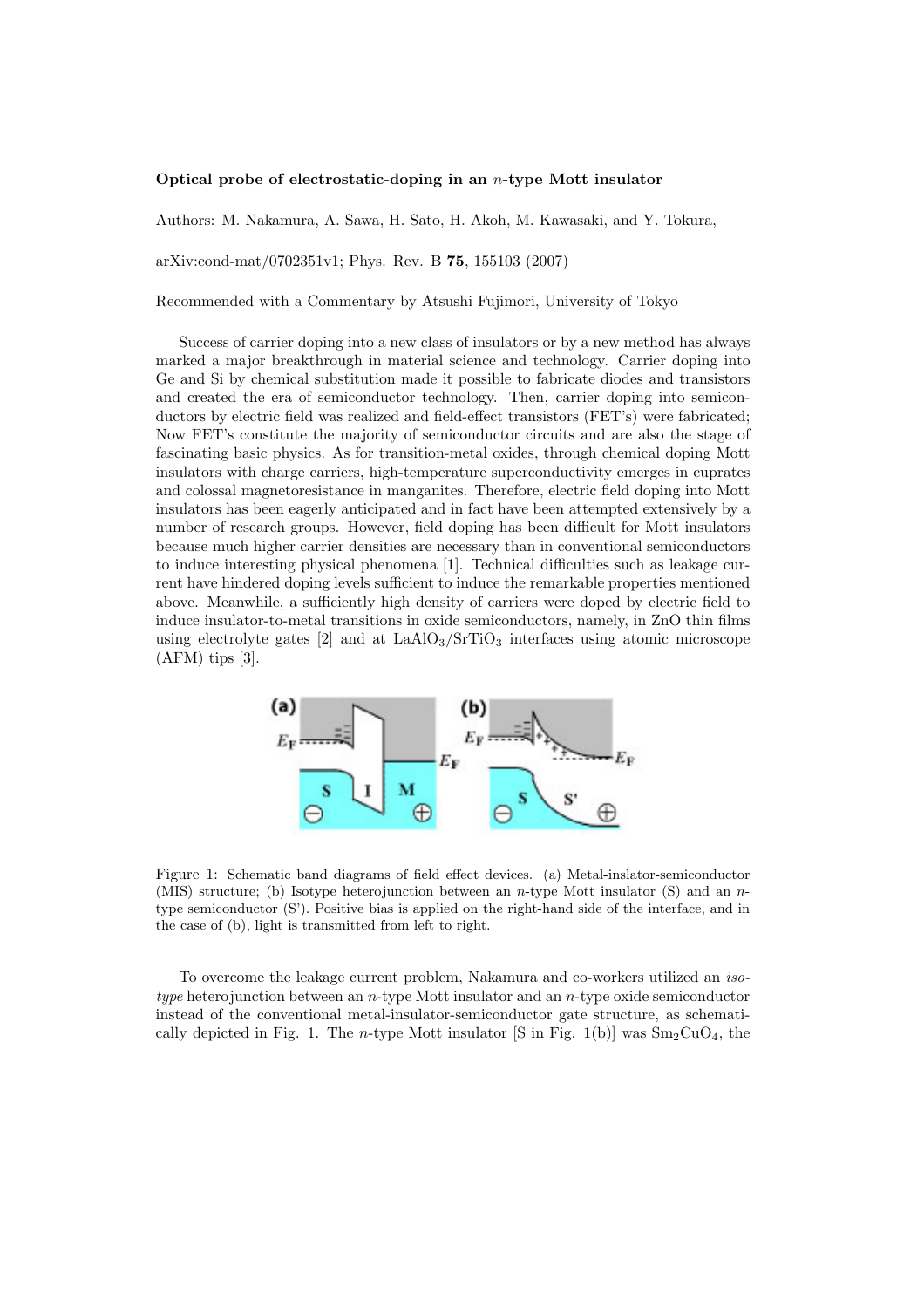## **Optical probe of electrostatic-doping in an** *n***-type Mott insulator**

Authors: M. Nakamura, A. Sawa, H. Sato, H. Akoh, M. Kawasaki, and Y. Tokura,

arXiv:cond-mat/0702351v1; Phys. Rev. B **75**, 155103 (2007)

Recommended with a Commentary by Atsushi Fujimori, University of Tokyo

Success of carrier doping into a new class of insulators or by a new method has always marked a major breakthrough in material science and technology. Carrier doping into Ge and Si by chemical substitution made it possible to fabricate diodes and transistors and created the era of semiconductor technology. Then, carrier doping into semiconductors by electric field was realized and field-effect transistors (FET's) were fabricated; Now FET's constitute the majority of semiconductor circuits and are also the stage of fascinating basic physics. As for transition-metal oxides, through chemical doping Mott insulators with charge carriers, high-temperature superconductivity emerges in cuprates and colossal magnetoresistance in manganites. Therefore, electric field doping into Mott insulators has been eagerly anticipated and in fact have been attempted extensively by a number of research groups. However, field doping has been difficult for Mott insulators because much higher carrier densities are necessary than in conventional semiconductors to induce interesting physical phenomena [1]. Technical difficulties such as leakage current have hindered doping levels sufficient to induce the remarkable properties mentioned above. Meanwhile, a sufficiently high density of carriers were doped by electric field to induce insulator-to-metal transitions in oxide semiconductors, namely, in ZnO thin films using electrolyte gates  $[2]$  and at  $\text{LaAlO}_3/\text{SrTiO}_3$  interfaces using atomic microscope  $(AFM)$  tips [3].



Figure 1: Schematic band diagrams of field effect devices. (a) Metal-inslator-semiconductor (MIS) structure; (b) Isotype heterojunction between an *n*-type Mott insulator (S) and an *n*type semiconductor (S'). Positive bias is applied on the right-hand side of the interface, and in the case of (b), light is transmitted from left to right.

To overcome the leakage current problem, Nakamura and co-workers utilized an *isotype* heterojunction between an *n*-type Mott insulator and an *n*-type oxide semiconductor instead of the conventional metal-insulator-semiconductor gate structure, as schematically depicted in Fig. 1. The *n*-type Mott insulator [S in Fig. 1(b)] was  $Sm_2CuO<sub>4</sub>$ , the